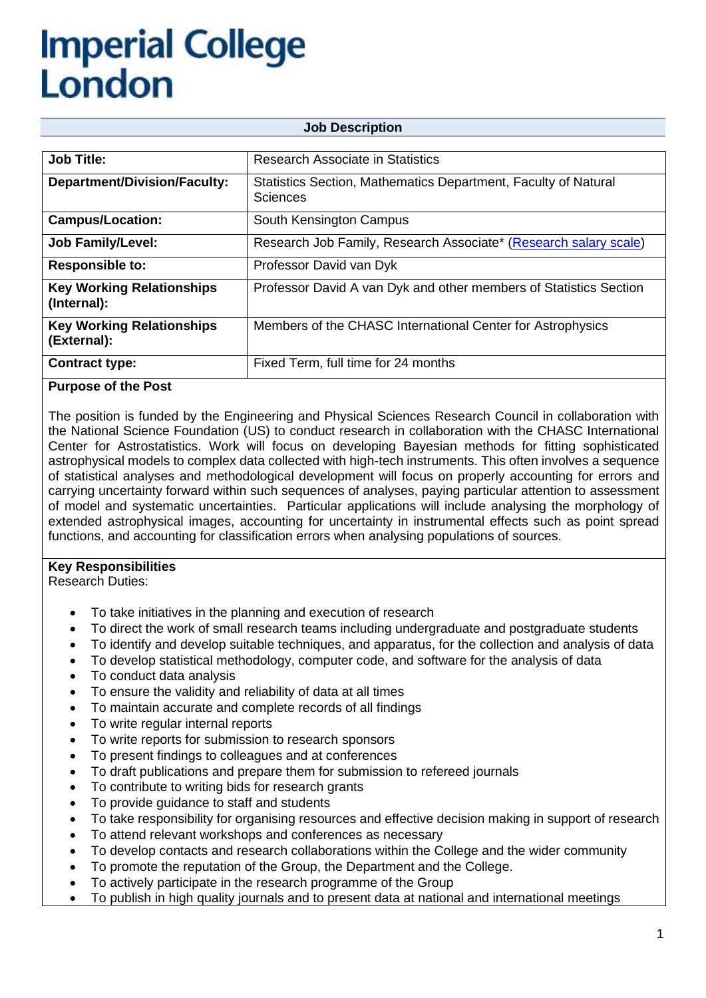| <b>Job Description</b>                          |                                                                                   |  |
|-------------------------------------------------|-----------------------------------------------------------------------------------|--|
|                                                 |                                                                                   |  |
| <b>Job Title:</b>                               | <b>Research Associate in Statistics</b>                                           |  |
| <b>Department/Division/Faculty:</b>             | Statistics Section, Mathematics Department, Faculty of Natural<br><b>Sciences</b> |  |
| <b>Campus/Location:</b>                         | South Kensington Campus                                                           |  |
| <b>Job Family/Level:</b>                        | Research Job Family, Research Associate* (Research salary scale)                  |  |
| <b>Responsible to:</b>                          | Professor David van Dyk                                                           |  |
| <b>Key Working Relationships</b><br>(Internal): | Professor David A van Dyk and other members of Statistics Section                 |  |
| <b>Key Working Relationships</b><br>(External): | Members of the CHASC International Center for Astrophysics                        |  |
| <b>Contract type:</b>                           | Fixed Term, full time for 24 months                                               |  |

## **Purpose of the Post**

The position is funded by the Engineering and Physical Sciences Research Council in collaboration with the National Science Foundation (US) to conduct research in collaboration with the CHASC International Center for Astrostatistics. Work will focus on developing Bayesian methods for fitting sophisticated astrophysical models to complex data collected with high-tech instruments. This often involves a sequence of statistical analyses and methodological development will focus on properly accounting for errors and carrying uncertainty forward within such sequences of analyses, paying particular attention to assessment of model and systematic uncertainties. Particular applications will include analysing the morphology of extended astrophysical images, accounting for uncertainty in instrumental effects such as point spread functions, and accounting for classification errors when analysing populations of sources.

## **Key Responsibilities**

Research Duties:

- To take initiatives in the planning and execution of research
- To direct the work of small research teams including undergraduate and postgraduate students
- To identify and develop suitable techniques, and apparatus, for the collection and analysis of data
- To develop statistical methodology, computer code, and software for the analysis of data
- To conduct data analysis
- To ensure the validity and reliability of data at all times
- To maintain accurate and complete records of all findings
- To write regular internal reports
- To write reports for submission to research sponsors
- To present findings to colleagues and at conferences
- To draft publications and prepare them for submission to refereed journals
- To contribute to writing bids for research grants
- To provide guidance to staff and students
- To take responsibility for organising resources and effective decision making in support of research
- To attend relevant workshops and conferences as necessary
- To develop contacts and research collaborations within the College and the wider community
- To promote the reputation of the Group, the Department and the College.
- To actively participate in the research programme of the Group
- To publish in high quality journals and to present data at national and international meetings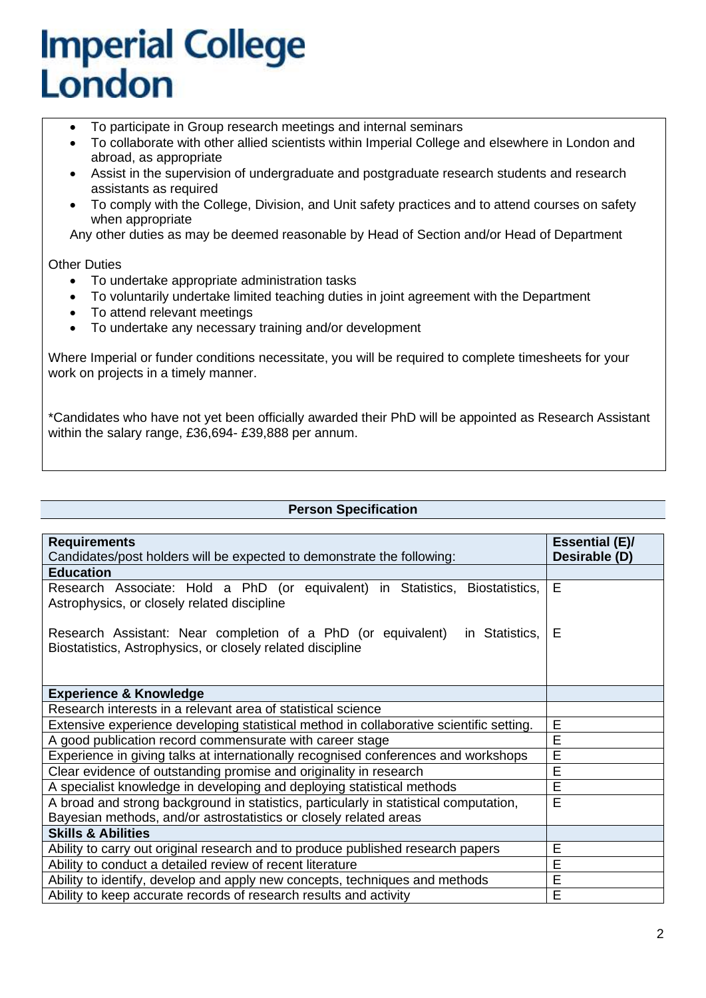- To participate in Group research meetings and internal seminars
- To collaborate with other allied scientists within Imperial College and elsewhere in London and abroad, as appropriate
- Assist in the supervision of undergraduate and postgraduate research students and research assistants as required
- To comply with the College, Division, and Unit safety practices and to attend courses on safety when appropriate

Any other duties as may be deemed reasonable by Head of Section and/or Head of Department

Other Duties

- To undertake appropriate administration tasks
- To voluntarily undertake limited teaching duties in joint agreement with the Department
- To attend relevant meetings
- To undertake any necessary training and/or development

Where Imperial or funder conditions necessitate, you will be required to complete timesheets for your work on projects in a timely manner.

\*Candidates who have not yet been officially awarded their PhD will be appointed as Research Assistant within the salary range, £36,694- £39,888 per annum.

#### **Person Specification**

| <b>Requirements</b>                                                                                                                          | <b>Essential (E)/</b> |
|----------------------------------------------------------------------------------------------------------------------------------------------|-----------------------|
| Candidates/post holders will be expected to demonstrate the following:                                                                       | Desirable (D)         |
| <b>Education</b>                                                                                                                             |                       |
| Research Associate: Hold a PhD (or equivalent) in Statistics, Biostatistics,                                                                 | E                     |
| Astrophysics, or closely related discipline                                                                                                  |                       |
| Research Assistant: Near completion of a PhD (or equivalent)<br>in Statistics,<br>Biostatistics, Astrophysics, or closely related discipline | Е                     |
| <b>Experience &amp; Knowledge</b>                                                                                                            |                       |
| Research interests in a relevant area of statistical science                                                                                 |                       |
| Extensive experience developing statistical method in collaborative scientific setting.                                                      | E                     |
| A good publication record commensurate with career stage                                                                                     | E                     |
| Experience in giving talks at internationally recognised conferences and workshops                                                           | E                     |
| Clear evidence of outstanding promise and originality in research                                                                            | E                     |
| A specialist knowledge in developing and deploying statistical methods                                                                       | E                     |
| A broad and strong background in statistics, particularly in statistical computation,                                                        | E                     |
| Bayesian methods, and/or astrostatistics or closely related areas                                                                            |                       |
| <b>Skills &amp; Abilities</b>                                                                                                                |                       |
| Ability to carry out original research and to produce published research papers                                                              | E                     |
| Ability to conduct a detailed review of recent literature                                                                                    | E                     |
| Ability to identify, develop and apply new concepts, techniques and methods                                                                  | E                     |
| Ability to keep accurate records of research results and activity                                                                            | E                     |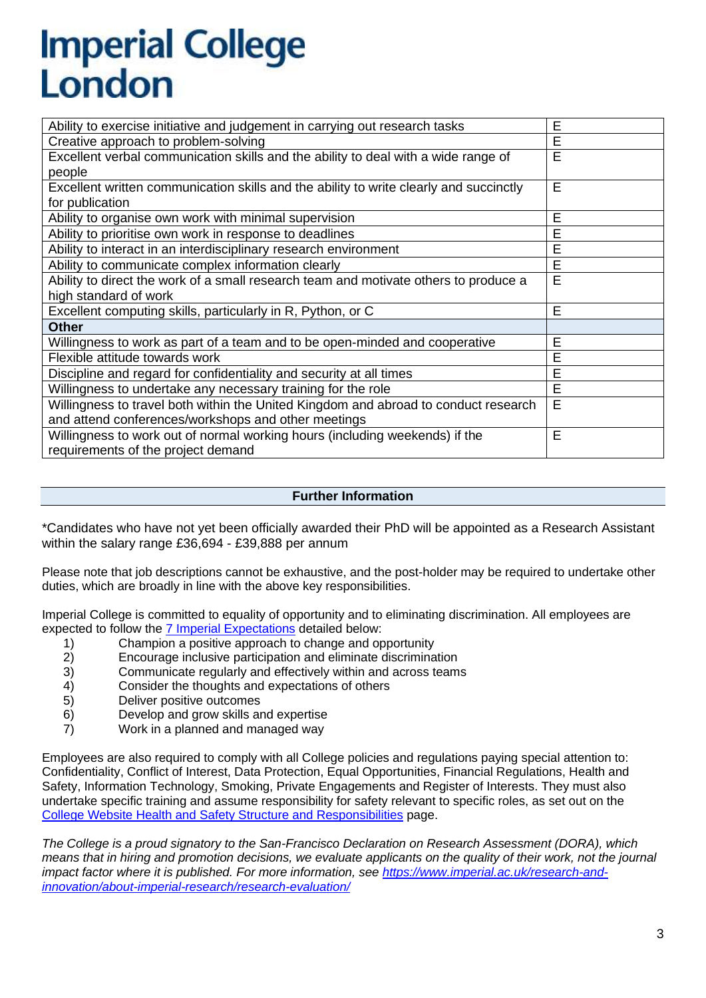| Ability to exercise initiative and judgement in carrying out research tasks            | E |
|----------------------------------------------------------------------------------------|---|
| Creative approach to problem-solving                                                   | E |
| Excellent verbal communication skills and the ability to deal with a wide range of     | E |
| people                                                                                 |   |
| Excellent written communication skills and the ability to write clearly and succinctly | E |
| for publication                                                                        |   |
| Ability to organise own work with minimal supervision                                  | E |
| Ability to prioritise own work in response to deadlines                                | E |
| Ability to interact in an interdisciplinary research environment                       | E |
| Ability to communicate complex information clearly                                     | E |
| Ability to direct the work of a small research team and motivate others to produce a   | E |
| high standard of work                                                                  |   |
| Excellent computing skills, particularly in R, Python, or C                            | E |
| <b>Other</b>                                                                           |   |
| Willingness to work as part of a team and to be open-minded and cooperative            | E |
| Flexible attitude towards work                                                         | E |
| Discipline and regard for confidentiality and security at all times                    | E |
| Willingness to undertake any necessary training for the role                           | E |
| Willingness to travel both within the United Kingdom and abroad to conduct research    | E |
| and attend conferences/workshops and other meetings                                    |   |
| Willingness to work out of normal working hours (including weekends) if the            | E |
| requirements of the project demand                                                     |   |

### **Further Information**

\*Candidates who have not yet been officially awarded their PhD will be appointed as a Research Assistant within the salary range £36,694 - £39,888 per annum

Please note that job descriptions cannot be exhaustive, and the post-holder may be required to undertake other duties, which are broadly in line with the above key responsibilities.

Imperial College is committed to equality of opportunity and to eliminating discrimination. All employees are expected to follow the [7 Imperial Expectations](https://www.imperial.ac.uk/human-resources/imperial-expectations/) detailed below:

- 1) Champion a positive approach to change and opportunity<br>2) Encourage inclusive participation and eliminate discrimina
- 2) Encourage inclusive participation and eliminate discrimination
- 3) Communicate regularly and effectively within and across teams
- 4) Consider the thoughts and expectations of others
- 5) Deliver positive outcomes
- 6) Develop and grow skills and expertise
- 7) Work in a planned and managed way

Employees are also required to comply with all College policies and regulations paying special attention to: Confidentiality, Conflict of Interest, Data Protection, Equal Opportunities, Financial Regulations, Health and Safety, Information Technology, Smoking, Private Engagements and Register of Interests. They must also undertake specific training and assume responsibility for safety relevant to specific roles, as set out on the [College Website Health and Safety Structure and Responsibilities](https://www.imperial.ac.uk/safety/safety-by-topic/safety-management/health-and-safety-management-system/structure-and-responsibilities/) page.

*The College is a proud signatory to the San-Francisco Declaration on Research Assessment (DORA), which means that in hiring and promotion decisions, we evaluate applicants on the quality of their work, not the journal impact factor where it is published. For more information, see [https://www.imperial.ac.uk/research-and](https://www.imperial.ac.uk/research-and-innovation/about-imperial-research/research-evaluation/)[innovation/about-imperial-research/research-evaluation/](https://www.imperial.ac.uk/research-and-innovation/about-imperial-research/research-evaluation/)*